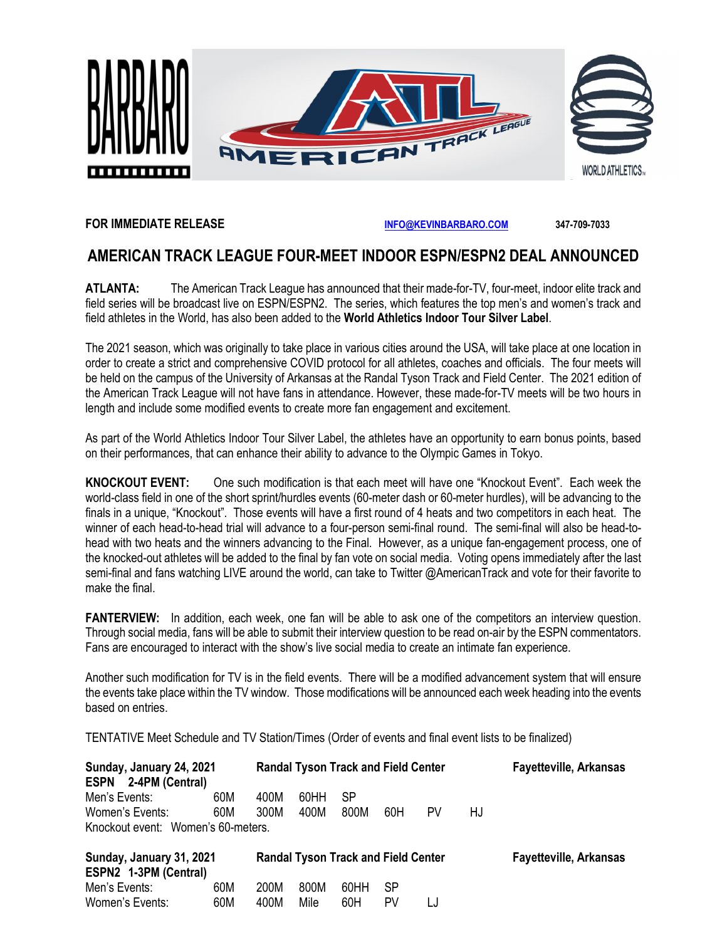

#### **FOR IMMEDIATE RELEASE [INFO@KEVINBARBARO.COM](mailto:INFO@KEVINBARBARO.COM) 347-709-7033**

# **AMERICAN TRACK LEAGUE FOUR-MEET INDOOR ESPN/ESPN2 DEAL ANNOUNCED**

**ATLANTA:** The American Track League has announced that their made-for-TV, four-meet, indoor elite track and field series will be broadcast live on ESPN/ESPN2. The series, which features the top men's and women's track and field athletes in the World, has also been added to the **World Athletics Indoor Tour Silver Label**.

The 2021 season, which was originally to take place in various cities around the USA, will take place at one location in order to create a strict and comprehensive COVID protocol for all athletes, coaches and officials. The four meets will be held on the campus of the University of Arkansas at the Randal Tyson Track and Field Center. The 2021 edition of the American Track League will not have fans in attendance. However, these made-for-TV meets will be two hours in length and include some modified events to create more fan engagement and excitement.

As part of the World Athletics Indoor Tour Silver Label, the athletes have an opportunity to earn bonus points, based on their performances, that can enhance their ability to advance to the Olympic Games in Tokyo.

**KNOCKOUT EVENT:** One such modification is that each meet will have one "Knockout Event". Each week the world-class field in one of the short sprint/hurdles events (60-meter dash or 60-meter hurdles), will be advancing to the finals in a unique, "Knockout". Those events will have a first round of 4 heats and two competitors in each heat. The winner of each head-to-head trial will advance to a four-person semi-final round. The semi-final will also be head-tohead with two heats and the winners advancing to the Final. However, as a unique fan-engagement process, one of the knocked-out athletes will be added to the final by fan vote on social media. Voting opens immediately after the last semi-final and fans watching LIVE around the world, can take to Twitter @AmericanTrack and vote for their favorite to make the final.

**FANTERVIEW:** In addition, each week, one fan will be able to ask one of the competitors an interview question. Through social media, fans will be able to submit their interview question to be read on-air by the ESPN commentators. Fans are encouraged to interact with the show's live social media to create an intimate fan experience.

Another such modification for TV is in the field events. There will be a modified advancement system that will ensure the events take place within the TV window. Those modifications will be announced each week heading into the events based on entries.

TENTATIVE Meet Schedule and TV Station/Times (Order of events and final event lists to be finalized)

Women's Events: 60M 400M Mile 60H PV LJ

| Sunday, January 24, 2021<br>ESPN 2-4PM (Central)  |     |      | <b>Randal Tyson Track and Field Center</b> |      |     |    |     | <b>Fayetteville, Arkansas</b> |
|---------------------------------------------------|-----|------|--------------------------------------------|------|-----|----|-----|-------------------------------|
| Men's Events:                                     | 60M | 400M | 60HH                                       | SP   |     |    |     |                               |
| Women's Events:                                   | 60M | 300M | 400M                                       | 800M | 60H | PV | HJ. |                               |
| Knockout event: Women's 60-meters.                |     |      |                                            |      |     |    |     |                               |
| Sunday, January 31, 2021<br>ESPN2 1-3PM (Central) |     |      | <b>Randal Tyson Track and Field Center</b> |      |     |    |     | <b>Fayetteville, Arkansas</b> |
| Men's Events:                                     | 60M | 200M | 800M                                       | 60HH | SP  |    |     |                               |